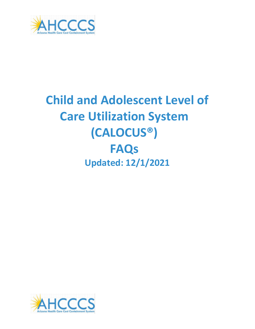

# **Child and Adolescent Level of Care Utilization System (CALOCUS®) FAQs Updated: 12/1/2021**

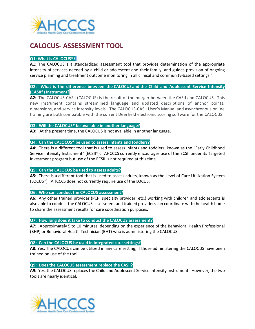

# **CALOCUS- ASSESSMENT TOOL**

### **Q1: What is CALOCUS®?**

**A1:** The CALOCUS is a standardized assessment tool that provides determination of the appropriate intensity of services needed by a child or adolescent and their family, and guides provision of ongoing service planning and treatment outcome monitoring in all clinical and community-based settings."

### **Q2: What is the difference between the CALOCUS and the Child and Adolescent Service Intensity (CASII®) Instrument?**

**A2:** The CALOCUS-CASII (CALOCUS) is the result of the merger between the CASII and CALOCUS. This new instrument contains streamlined language and updated descriptions of anchor points, dimensions, and service intensity levels. The CALOCUS-CASII User's Manual and asynchronous online training are both compatible with the current Deerfield electronic scoring software for the CALOCUS.

### **Q3: Will the CALOCUS® be available in another language?**

**A3:** At the present time, the CALOCUS is not available in another language.

### **Q4: Can the CALOCUS® be used to assess infants and toddlers?**

**A4:** There is a different tool that is used to assess infants and toddlers, known as the "Early Childhood Service Intensity Instrument" (ECSII®). AHCCCS currently encourages use of the ECSII under its Targeted Investment program but use of the ECSII is not required at this time.

### **Q5: Can the CALOCUS be used to assess adults?**

**A5:** There is a different tool that is used to assess adults, known as the Level of Care Utilization System (LOCUS®). AHCCCS does not currently require use of the LOCUS.

### **Q6: Who can conduct the CALOCUS assessment?**

**A6:** Any other trained provider (PCP, specialty provider, etc.) working with children and adolescents is also able to conduct the CALOCUS assessment and trained providers can coordinate with the health home to share the assessment results for care coordination purposes.

### **Q7: How long does it take to conduct the CALOCUS assessment?**

**A7:** Approximately 5 to 10 minutes, depending on the experience of the Behavioral Health Professional (BHP) or Behavioral Health Technician (BHT) who is administering the CALOCUS.

### **Q8: Can the CALOCUS be used in integrated care settings?**

**A8:** Yes. The CALOCUS can be utilized in any care setting, if those administering the CALOCUS have been trained on use of the tool.

### **Q9: Does the CALOCUS assessment replace the CASII?**

**A9:** Yes, the CALOCUS replaces the Child and Adolescent Service Intensity Instrument. However, the two tools are nearly identical.

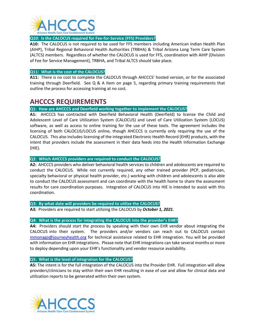

### **Q10: Is the CALOCUS required for Fee-for-Service (FFS) Providers?**

**A10:** The CALOCUS is not required to be used for FFS members including American Indian Health Plan (AIHP), Tribal Regional Behavioral Health Authorities (TRBHA) & Tribal Arizona Long Term Care System (ALTCS) members. Regardless of whether the CALOCUS is used for FFS, coordination with AIHP (Division of Fee for Service Management), TRBHA, and Tribal ALTCS should take place.

### **Q11: What is the cost of the CALOCUS?**

**A11:** There is no cost to complete the CALOCUS through AHCCCS' hosted version, or for the associated training through Deerfield. See Q & A Item on page 5, regarding primary training requirements that outline the process for accessing training at no cost.

### **AHCCCS REQUIREMENTS**

**Q1: How are AHCCCS and Deerfield working together to implement the CALOCUS?**

**A1:** AHCCCS has contracted with Deerfield Behavioral Health (Deerfield) to license the Child and Adolescent Level of Care Utilization System (CALOCUS) and Level of Care Utilization System (LOCUS) software, as well as access to online training for the use of these tools. The agreement includes the licensing of both CALOCUS/LOCUS online, though AHCCCS is currently only requiring the use of the CALOCUS. This also includes licensing of the integrated Electronic Health Record (EHR) products, with the intent that providers include the assessment in their data feeds into the Health Information Exchange (HIE).

### **Q2: Which AHCCCS providers are required to conduct the CALOCUS?**

**A2:** AHCCCS providers who deliver behavioral health services to children and adolescents are required to conduct the CALOCUS. While not currently required, any other trained provider (PCP, pediatrician, specialty behavioral or physical health provider, etc.) working with children and adolescents is also able to conduct the CALOCUS assessment and can coordinate with the health home to share the assessment results for care coordination purposes. Integration of CALOCUS into HIE is intended to assist with this coordination.

### **Q3: By what date will providers be required to utilize the CALOCUS?**

**A3:** Providers are required to start utilizing the CALOCUS by *October 1, 2021*.

### **Q4: What is the process for integrating the CALOCUS into the provider's EHR?**

**A4:** Providers should start the process by speaking with their own EHR vendor about integrating the CALOCUS into their system. The providers and/or vendors can reach out to CALOCUS contact [mmonago@journeyhealth.org](mailto:mmonago@journeyhealth.org) for technical assistance related to EHR integration. You will be provided with information on EHR integrations. Please note that EHR integrations can take several months or more to deploy depending upon your EHR's functionality and vendor resource availability.

### **Q5: What is the level of integration for the CALOCUS?**

**A5:** The intent is for the full integration of the CALOCUS into the Provider EHR. Full integration will allow providers/clinicians to stay within their own EHR resulting in ease of use and allow for clinical data and utilization reports to be generated within their own system.

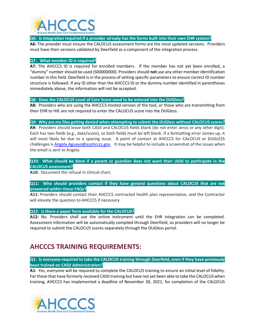

**Q6: Is integration required if a provider already has the forms built into their own EHR system?**

**A6:** The provider must ensure the CALOCUS assessment forms are the most updated versions. Providers must have their versions validated by Deerfield as a component of the integration process.

### **Q7: What member ID is required?**

**A7:** The AHCCCS ID is required for enrolled members. If the member has not yet been enrolled, a "dummy" number should be used (S00000000). Providers should **not** use any other member identification number in this field. Deerfield is in the process of setting specific parameters to ensure correct ID number structure is followed. If any ID other than the AHCCCS ID or the dummy number identified in parentheses immediately above, the information will not be accepted.

### **Q8: Does the CALOCUS Level of Care Score need to be entered into the DUGless?**

**A8:** Providers who are using the AHCCCS-hosted version of the tool, or those who are transmitting from their EHR to HIE are not required to enter the CALOCUS score into the DUGless.

**Q9: Why are my files getting denied when attempting to submit the DUGless without CALOCUS scores? A9:** Providers should leave both CASII and CALOCUS fields blank (do not enter zeros or any other digit). Each has two fields (e.g., date/score), so both fields must be left blank. If a formatting error comes up, it will most likely be due to a spacing issue. A point of contact at AHCCCS for CALOCUS or DUGLESS challenges i[s Angela.Aguayo@azahcccs.gov.](mailto:Angela.Aguayo@azahcccs.gov) It may be helpful to include a screenshot of the issues when the email is sent to Angela.

### **Q10: What should be done if a parent or guardian does not want their child to participate in the CALOCUS assessment?**

**A10:** Document the refusal in clinical chart.

### **Q11: Who should providers contact if they have general questions about CALOCUS that are not answered within these FAQs?**

**A11:** Providers should contact their AHCCCS contracted health plan representative, and the Contractor will elevate the question to AHCCCS if necessary.

### **Q12: Is there a paper form available for the CALOCUS?**

**A12:** No. Providers shall use the online instrument until the EHR integration can be completed. Assessment information will be automatically compiled through Deerfield, so providers will no longer be required to submit the CALOCUS scores separately through the DUGless portal.

## **AHCCCS TRAINING REQUIREMENTS:**

**Q1: Is everyone required to take the CALOCUS training through Deerfield, even if they have previously been trained on CASII Administration?**

**A1:** Yes, everyone will be required to complete the CALOCUS training to ensure an initial level of fidelity. For those that have formerly received CASII training but have not yet been able to take the CALOCUS when training, AHCCCS has implemented a deadline of November 30, 2021, for completion of the CALOCUS